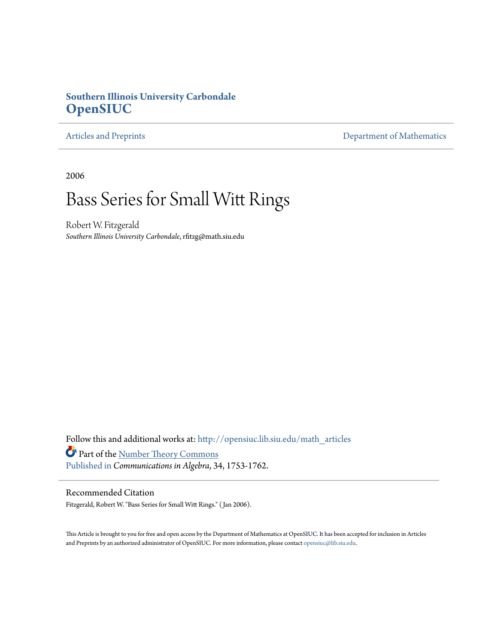## **Southern Illinois University Carbondale [OpenSIUC](http://opensiuc.lib.siu.edu?utm_source=opensiuc.lib.siu.edu%2Fmath_articles%2F22&utm_medium=PDF&utm_campaign=PDFCoverPages)**

[Articles and Preprints](http://opensiuc.lib.siu.edu/math_articles?utm_source=opensiuc.lib.siu.edu%2Fmath_articles%2F22&utm_medium=PDF&utm_campaign=PDFCoverPages) **[Department of Mathematics](http://opensiuc.lib.siu.edu/math?utm_source=opensiuc.lib.siu.edu%2Fmath_articles%2F22&utm_medium=PDF&utm_campaign=PDFCoverPages)** 

2006

# Bass Series for Small Witt Rings

Robert W. Fitzgerald *Southern Illinois University Carbondale*, rfitzg@math.siu.edu

Follow this and additional works at: [http://opensiuc.lib.siu.edu/math\\_articles](http://opensiuc.lib.siu.edu/math_articles?utm_source=opensiuc.lib.siu.edu%2Fmath_articles%2F22&utm_medium=PDF&utm_campaign=PDFCoverPages) Part of the [Number Theory Commons](http://network.bepress.com/hgg/discipline/183?utm_source=opensiuc.lib.siu.edu%2Fmath_articles%2F22&utm_medium=PDF&utm_campaign=PDFCoverPages) [Published in](http://www.informaworld.com/smpp/content~content=a748731627~db=all) *Communications in Algebra*, 34, 1753-1762.

### Recommended Citation

Fitzgerald, Robert W. "Bass Series for Small Witt Rings." ( Jan 2006).

This Article is brought to you for free and open access by the Department of Mathematics at OpenSIUC. It has been accepted for inclusion in Articles and Preprints by an authorized administrator of OpenSIUC. For more information, please contact [opensiuc@lib.siu.edu](mailto:opensiuc@lib.siu.edu).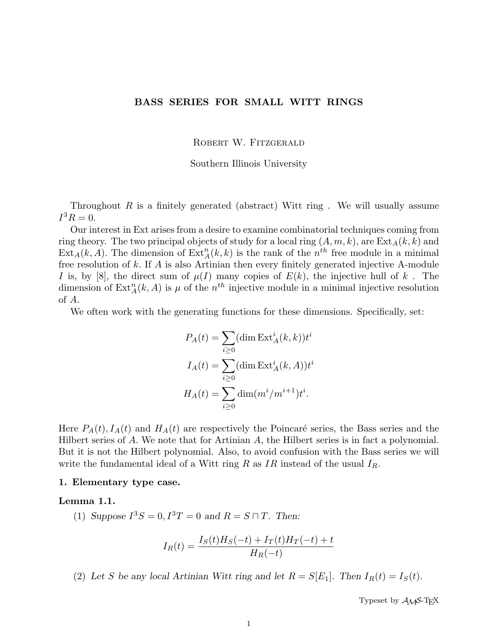#### BASS SERIES FOR SMALL WITT RINGS

ROBERT W. FITZGERALD

Southern Illinois University

Throughout R is a finitely generated (abstract) Witt ring . We will usually assume  $I^3R = 0.$ 

Our interest in Ext arises from a desire to examine combinatorial techniques coming from ring theory. The two principal objects of study for a local ring  $(A, m, k)$ , are  $\text{Ext}_{A}(k, k)$  and  $\text{Ext}_A(k, A)$ . The dimension of  $\text{Ext}_A^n(k, k)$  is the rank of the  $n^{th}$  free module in a minimal free resolution of k. If A is also Artinian then every finitely generated injective A-module I is, by [8], the direct sum of  $\mu(I)$  many copies of  $E(k)$ , the injective hull of k. The dimension of  $\text{Ext}_{A}^{n}(k, A)$  is  $\mu$  of the  $n^{th}$  injective module in a minimal injective resolution of A.

We often work with the generating functions for these dimensions. Specifically, set:

$$
P_A(t) = \sum_{i \ge 0} (\dim \operatorname{Ext}_A^i(k, k)) t^i
$$

$$
I_A(t) = \sum_{i \ge 0} (\dim \operatorname{Ext}_A^i(k, A)) t^i
$$

$$
H_A(t) = \sum_{i \ge 0} \dim (m^i / m^{i+1}) t^i.
$$

Here  $P_A(t)$ ,  $I_A(t)$  and  $H_A(t)$  are respectively the Poincaré series, the Bass series and the Hilbert series of A. We note that for Artinian A, the Hilbert series is in fact a polynomial. But it is not the Hilbert polynomial. Also, to avoid confusion with the Bass series we will write the fundamental ideal of a Witt ring R as  $IR$  instead of the usual  $I_R$ .

#### 1. Elementary type case.

#### Lemma 1.1.

(1) Suppose  $I^3S = 0, I^3T = 0$  and  $R = S \sqcap T$ . Then:

$$
I_R(t) = \frac{I_S(t)H_S(-t) + I_T(t)H_T(-t) + t}{H_R(-t)}
$$

(2) Let S be any local Artinian Witt ring and let  $R = S[E_1]$ . Then  $I_R(t) = I_S(t)$ .

Typeset by  $A_{\mathcal{M}}S$ -T<sub>F</sub>X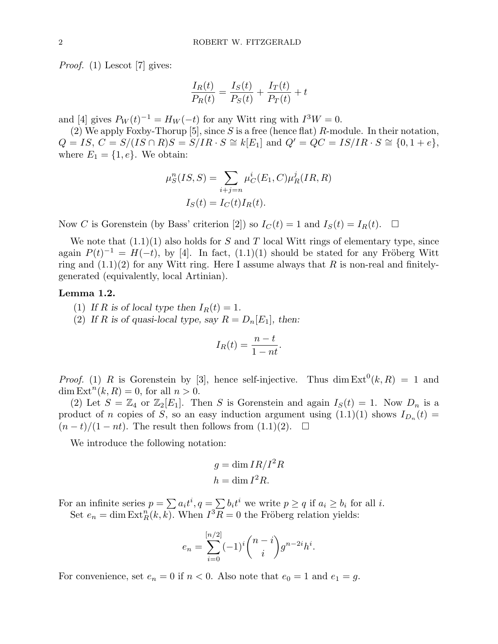Proof. (1) Lescot [7] gives:

$$
\frac{I_R(t)}{P_R(t)} = \frac{I_S(t)}{P_S(t)} + \frac{I_T(t)}{P_T(t)} + t
$$

and [4] gives  $P_W(t)^{-1} = H_W(-t)$  for any Witt ring with  $I^3W = 0$ .

(2) We apply Foxby-Thorup [5], since S is a free (hence flat) R-module. In their notation,  $Q = IS, C = S/(IS \cap R)S = S/IR \cdot S \cong k[E_1]$  and  $Q' = QC = IS/IR \cdot S \cong \{0, 1 + e\},$ where  $E_1 = \{1, e\}$ . We obtain:

$$
\mu_S^n(IS, S) = \sum_{i+j=n} \mu_C^i(E_1, C)\mu_R^j(IR, R)
$$

$$
I_S(t) = I_C(t)I_R(t).
$$

Now C is Gorenstein (by Bass' criterion [2]) so  $I_C(t) = 1$  and  $I_S(t) = I_R(t)$ .  $\Box$ 

We note that  $(1.1)(1)$  also holds for S and T local Witt rings of elementary type, since again  $P(t)^{-1} = H(-t)$ , by [4]. In fact,  $(1.1)(1)$  should be stated for any Fröberg Witt ring and  $(1.1)(2)$  for any Witt ring. Here I assume always that R is non-real and finitelygenerated (equivalently, local Artinian).

#### Lemma 1.2.

- (1) If R is of local type then  $I_R(t) = 1$ .
- (2) If R is of quasi-local type, say  $R = D_n[E_1]$ , then:

$$
I_R(t) = \frac{n-t}{1-nt}.
$$

*Proof.* (1) R is Gorenstein by [3], hence self-injective. Thus dim  $Ext^0(k, R) = 1$  and dim  $\text{Ext}^n(k, R) = 0$ , for all  $n > 0$ .

(2) Let  $S = \mathbb{Z}_4$  or  $\mathbb{Z}_2[E_1]$ . Then S is Gorenstein and again  $I_S(t) = 1$ . Now  $D_n$  is a product of n copies of S, so an easy induction argument using  $(1.1)(1)$  shows  $I_{D_n}(t)$  =  $(n-t)/(1-nt)$ . The result then follows from  $(1.1)(2)$ .  $\Box$ 

We introduce the following notation:

$$
g = \dim IR/I^2R
$$

$$
h = \dim I^2R.
$$

For an infinite series  $p = \sum a_i t^i$ ,  $q = \sum b_i t^i$  we write  $p \ge q$  if  $a_i \ge b_i$  for all *i*. Set  $e_n = \dim \text{Ext}^n_R(k, k)$ . When  $I^3 \overline{R} = 0$  the Fröberg relation yields:

$$
e_n = \sum_{i=0}^{[n/2]} (-1)^i \binom{n-i}{i} g^{n-2i} h^i.
$$

For convenience, set  $e_n = 0$  if  $n < 0$ . Also note that  $e_0 = 1$  and  $e_1 = g$ .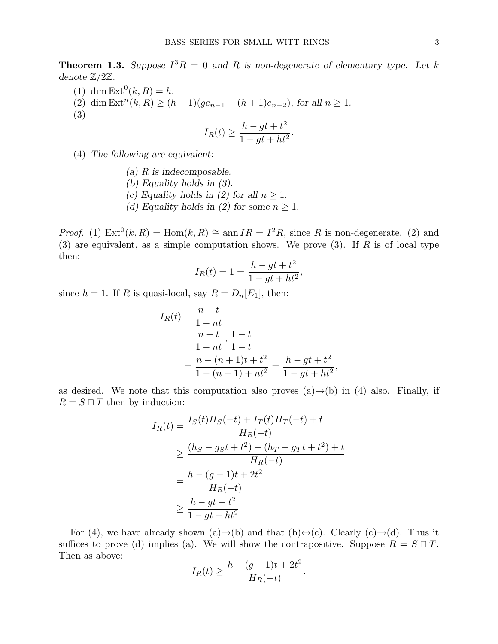**Theorem 1.3.** Suppose  $I^3R = 0$  and R is non-degenerate of elementary type. Let k denote Z/2Z.

- (1) dim  $\text{Ext}^0(k, R) = h$ .
- (2) dim  $\text{Ext}^n(k, R) \ge (h-1)(ge_{n-1} (h+1)e_{n-2}),$  for all  $n \ge 1$ .

(3)

$$
I_R(t) \ge \frac{h - gt + t^2}{1 - gt + ht^2}.
$$

- (4) The following are equivalent:
	- (a)  $R$  is indecomposable.
	- (b) Equality holds in (3).
	- (c) Equality holds in (2) for all  $n \geq 1$ .
	- (d) Equality holds in (2) for some  $n \geq 1$ .

*Proof.* (1)  $Ext^0(k, R) = Hom(k, R) \cong ann IR = I^2R$ , since R is non-degenerate. (2) and (3) are equivalent, as a simple computation shows. We prove (3). If  $R$  is of local type then:

$$
I_R(t) = 1 = \frac{h - gt + t^2}{1 - gt + ht^2},
$$

since  $h = 1$ . If R is quasi-local, say  $R = D_n[E_1]$ , then:

$$
I_R(t) = \frac{n-t}{1-nt}
$$
  
= 
$$
\frac{n-t}{1-nt} \cdot \frac{1-t}{1-t}
$$
  
= 
$$
\frac{n-(n+1)t+t^2}{1-(n+1)+nt^2} = \frac{h-gt+t^2}{1-gt+ht^2},
$$

as desired. We note that this computation also proves  $(a) \rightarrow (b)$  in (4) also. Finally, if  $R = S \sqcap T$  then by induction:

$$
I_R(t) = \frac{I_S(t)H_S(-t) + I_T(t)H_T(-t) + t}{H_R(-t)}
$$
  
\n
$$
\geq \frac{(h_S - g_S t + t^2) + (h_T - g_T t + t^2) + t}{H_R(-t)}
$$
  
\n
$$
= \frac{h - (g - 1)t + 2t^2}{H_R(-t)}
$$
  
\n
$$
\geq \frac{h - gt + t^2}{1 - gt + ht^2}
$$

For (4), we have already shown (a)→(b) and that (b)←(c). Clearly (c)→(d). Thus it suffices to prove (d) implies (a). We will show the contrapositive. Suppose  $R = S \sqcap T$ . Then as above:

$$
I_R(t) \geq \frac{h - (g - 1)t + 2t^2}{H_R(-t)}
$$
.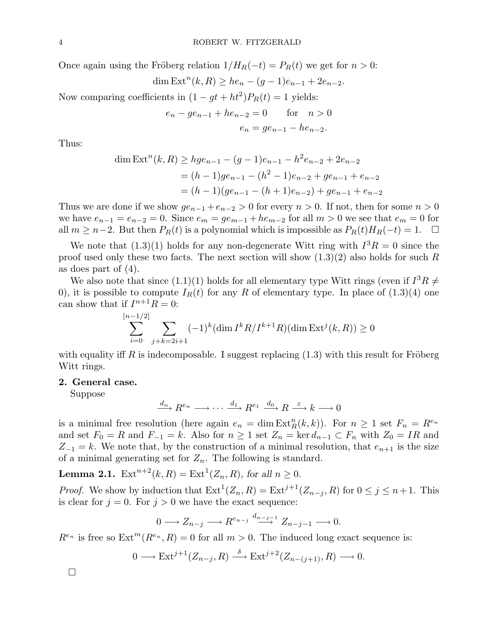Once again using the Fröberg relation  $1/H_R(-t) = P_R(t)$  we get for  $n > 0$ :

$$
\dim \text{Ext}^n(k, R) \geq he_n - (g - 1)e_{n-1} + 2e_{n-2}.
$$

Now comparing coefficients in  $(1 - gt + ht^2)P_R(t) = 1$  yields:

$$
e_n - ge_{n-1} + he_{n-2} = 0 \tfor n > 0
$$
  

$$
e_n = ge_{n-1} - he_{n-2}.
$$

Thus:

dim Ext<sup>n</sup>(k, R) 
$$
\geq hge_{n-1} - (g-1)e_{n-1} - h^2 e_{n-2} + 2e_{n-2}
$$
  
=  $(h-1)ge_{n-1} - (h^2 - 1)e_{n-2} + ge_{n-1} + e_{n-2}$   
=  $(h-1)(ge_{n-1} - (h+1)e_{n-2}) + ge_{n-1} + e_{n-2}$ 

Thus we are done if we show  $ge_{n-1} + e_{n-2} > 0$  for every  $n > 0$ . If not, then for some  $n > 0$ we have  $e_{n-1} = e_{n-2} = 0$ . Since  $e_m = g e_{m-1} + h e_{m-2}$  for all  $m > 0$  we see that  $e_m = 0$  for all  $m \geq n-2$ . But then  $P_R(t)$  is a polynomial which is impossible as  $P_R(t)H_R(-t) = 1$ .  $\Box$ 

We note that  $(1.3)(1)$  holds for any non-degenerate Witt ring with  $I^3R = 0$  since the proof used only these two facts. The next section will show  $(1.3)(2)$  also holds for such R as does part of (4).

We also note that since  $(1.1)(1)$  holds for all elementary type Witt rings (even if  $I^3R \neq$ 0), it is possible to compute  $I_R(t)$  for any R of elementary type. In place of  $(1.3)(4)$  one can show that if  $I^{n+1}R = 0$ :

$$
\sum_{i=0}^{[n-1/2]} \sum_{j+k=2i+1} (-1)^k (\dim I^k R/I^{k+1} R)(\dim \text{Ext}^j(k, R)) \ge 0
$$

with equality iff R is indecomposable. I suggest replacing  $(1.3)$  with this result for Fröberg Witt rings.

#### 2. General case.

Suppose

 $\underline{d_n} R^{e_n} \longrightarrow \cdots \longrightarrow \underline{d_1} R^{e_1} \xrightarrow{d_0} R \xrightarrow{\varepsilon} k \longrightarrow 0$ 

is a minimal free resolution (here again  $e_n = \dim \text{Ext}^n_R(k, k)$ ). For  $n \geq 1$  set  $F_n = R^{e_n}$ and set  $F_0 = R$  and  $F_{-1} = k$ . Also for  $n \geq 1$  set  $Z_n = \text{ker } d_{n-1} \subset F_n$  with  $Z_0 = IR$  and  $Z_{-1} = k$ . We note that, by the construction of a minimal resolution, that  $e_{n+1}$  is the size of a minimal generating set for  $Z_n$ . The following is standard.

**Lemma 2.1.**  $\text{Ext}^{n+2}(k, R) = \text{Ext}^{1}(Z_n, R)$ , for all  $n \geq 0$ .

*Proof.* We show by induction that  $\text{Ext}^{1}(Z_n, R) = \text{Ext}^{j+1}(Z_{n-j}, R)$  for  $0 \leq j \leq n+1$ . This is clear for  $j = 0$ . For  $j > 0$  we have the exact sequence:

$$
0 \longrightarrow Z_{n-j} \longrightarrow R^{e_{n-j}} \stackrel{d_{n-j-1}}{\longrightarrow} Z_{n-j-1} \longrightarrow 0.
$$

 $R^{e_n}$  is free so  $\text{Ext}^m(R^{e_n}, R) = 0$  for all  $m > 0$ . The induced long exact sequence is:

$$
0 \longrightarrow \text{Ext}^{j+1}(Z_{n-j}, R) \stackrel{\delta}{\longrightarrow} \text{Ext}^{j+2}(Z_{n-(j+1)}, R) \longrightarrow 0.
$$

¤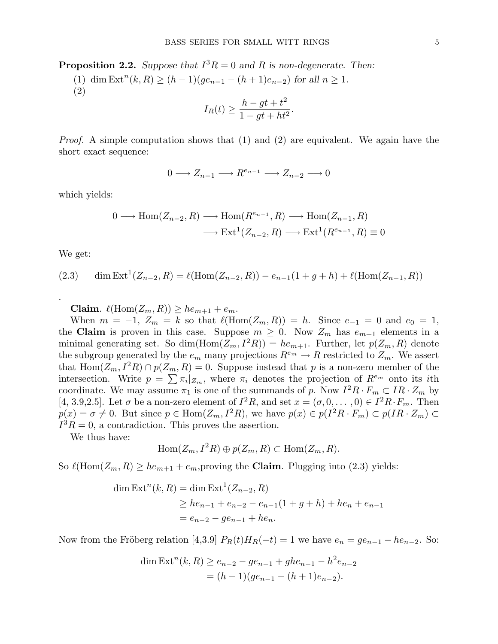**Proposition 2.2.** Suppose that  $I^3R = 0$  and R is non-degenerate. Then:

(1) dim  $\text{Ext}^n(k, R) \ge (h-1)(ge_{n-1} - (h+1)e_{n-2})$  for all  $n \ge 1$ . (2)

$$
I_R(t) \ge \frac{h - gt + t^2}{1 - gt + ht^2}.
$$

*Proof.* A simple computation shows that  $(1)$  and  $(2)$  are equivalent. We again have the short exact sequence:

$$
0 \longrightarrow Z_{n-1} \longrightarrow R^{e_{n-1}} \longrightarrow Z_{n-2} \longrightarrow 0
$$

which yields:

$$
0 \longrightarrow \text{Hom}(Z_{n-2}, R) \longrightarrow \text{Hom}(R^{e_{n-1}}, R) \longrightarrow \text{Hom}(Z_{n-1}, R)
$$

$$
\longrightarrow \text{Ext}^1(Z_{n-2}, R) \longrightarrow \text{Ext}^1(R^{e_{n-1}}, R) \equiv 0
$$

We get:

.

(2.3) dim Ext<sup>1</sup>(
$$
Z_{n-2}, R
$$
) =  $\ell$ (Hom( $Z_{n-2}, R$ )) –  $e_{n-1}$ (1 + g + h) +  $\ell$ (Hom( $Z_{n-1}, R$ ))

Claim.  $\ell(\text{Hom}(Z_m, R)) \geq he_{m+1} + e_m$ .

When  $m = -1$ ,  $Z_m = k$  so that  $\ell(\text{Hom}(Z_m, R)) = h$ . Since  $e_{-1} = 0$  and  $e_0 = 1$ , the Claim is proven in this case. Suppose  $m \geq 0$ . Now  $Z_m$  has  $e_{m+1}$  elements in a minimal generating set. So dim(Hom( $Z_m$ ,  $I^2R$ )) =  $he_{m+1}$ . Further, let  $p(Z_m, R)$  denote the subgroup generated by the  $e_m$  many projections  $R^{e_m} \to R$  restricted to  $Z_m$ . We assert that  $\text{Hom}(Z_m, I^2R) \cap p(Z_m, R) = 0$ . Suppose instead that p is a non-zero member of the intersection. Write  $p = \sum_{i} \pi_i |_{Z_m}$ , where  $\pi_i$  denotes the projection of  $R^{e_m}$  onto its *i*th coordinate. We may assume  $\pi_1$  is one of the summands of p. Now  $I^2R \cdot F_m \subset IR \cdot Z_m$  by [4, 3.9,2.5]. Let  $\sigma$  be a non-zero element of  $I^2R$ , and set  $x = (\sigma, 0, \ldots, 0) \in I^2R \cdot F_m$ . Then  $p(x) = \sigma \neq 0$ . But since  $p \in \text{Hom}(Z_m, I^2R)$ , we have  $p(x) \in p(I^2R \cdot F_m) \subset p(IR \cdot Z_m) \subset$  $I^3R = 0$ , a contradiction. This proves the assertion.

We thus have:

$$
Hom(Z_m, I^2R) \oplus p(Z_m, R) \subset Hom(Z_m, R).
$$

So  $\ell(\text{Hom}(Z_m, R) \geq he_{m+1} + e_m$ , proving the **Claim**. Plugging into (2.3) yields:

dim Ext<sup>n</sup>(k, R) = dim Ext<sup>1</sup>(Z<sub>n-2</sub>, R)  
\n
$$
\geq he_{n-1} + e_{n-2} - e_{n-1}(1 + g + h) + he_n + e_{n-1}
$$
  
\n $= e_{n-2} - ge_{n-1} + he_n.$ 

Now from the Fröberg relation [4,3.9]  $P_R(t)H_R(-t) = 1$  we have  $e_n = ge_{n-1} - he_{n-2}$ . So:

dim Ext<sup>n</sup>(k, R) 
$$
\ge e_{n-2} - ge_{n-1} + ghe_{n-1} - h^2 e_{n-2}
$$
  
=  $(h-1)(ge_{n-1} - (h+1)e_{n-2})$ .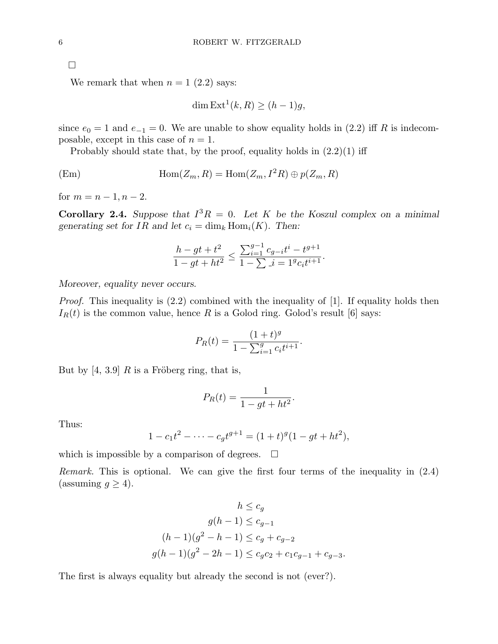¤

We remark that when  $n = 1$  (2.2) says:

$$
\dim \operatorname{Ext}^1(k, R) \ge (h - 1)g,
$$

since  $e_0 = 1$  and  $e_{-1} = 0$ . We are unable to show equality holds in (2.2) iff R is indecomposable, except in this case of  $n = 1$ .

Probably should state that, by the proof, equality holds in  $(2.2)(1)$  iff

(Em) 
$$
\text{Hom}(Z_m, R) = \text{Hom}(Z_m, I^2R) \oplus p(Z_m, R)
$$

for  $m = n - 1, n - 2$ .

**Corollary 2.4.** Suppose that  $I^3R = 0$ . Let K be the Koszul complex on a minimal generating set for IR and let  $c_i = \dim_k \text{Hom}_i(K)$ . Then:

$$
\frac{h - gt + t^2}{1 - gt + ht^2} \le \frac{\sum_{i=1}^{g-1} c_{g-i}t^i - t^{g+1}}{1 - \sum_{i=1}^{g-1} g_{c_i}t^{i+1}}.
$$

Moreover, equality never occurs.

Proof. This inequality is  $(2.2)$  combined with the inequality of [1]. If equality holds then  $I_R(t)$  is the common value, hence R is a Golod ring. Golod's result [6] says:

$$
P_R(t) = \frac{(1+t)^g}{1 - \sum_{i=1}^g c_i t^{i+1}}.
$$

But by [4, 3.9] R is a Fröberg ring, that is,

$$
P_R(t) = \frac{1}{1 - gt + ht^2}.
$$

Thus:

$$
1 - c_1 t^2 - \dots - c_g t^{g+1} = (1+t)^g (1 - gt + ht^2),
$$

which is impossible by a comparison of degrees.  $\Box$ 

Remark. This is optional. We can give the first four terms of the inequality in (2.4) (assuming  $g \geq 4$ ).

$$
h \leq c_g
$$
  
\n
$$
g(h-1) \leq c_{g-1}
$$
  
\n
$$
(h-1)(g^2 - h - 1) \leq c_g + c_{g-2}
$$
  
\n
$$
g(h-1)(g^2 - 2h - 1) \leq c_g c_2 + c_1 c_{g-1} + c_{g-3}.
$$

The first is always equality but already the second is not (ever?).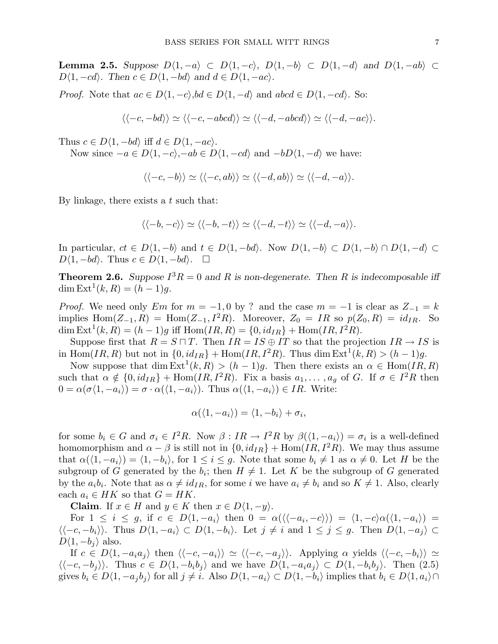Lemma 2.5. Suppose  $D\langle 1, -a \rangle$  ⊂  $D\langle 1, -c \rangle$ ,  $D\langle 1, -b \rangle$  ⊂  $D\langle 1, -d \rangle$  and  $D\langle 1, -ab \rangle$  ⊂  $D\langle 1, -cd \rangle$ . Then  $c \in D\langle 1, -bd \rangle$  and  $d \in D\langle 1, -ac \rangle$ .

*Proof.* Note that  $ac \in D\langle 1, -c \rangle$ ,  $bd \in D\langle 1, -d \rangle$  and  $abcd \in D\langle 1, -cd \rangle$ . So:

$$
\langle \langle -c, -bd \rangle \rangle \simeq \langle \langle -c, -abcd \rangle \rangle \simeq \langle \langle -d, -abcd \rangle \rangle \simeq \langle \langle -d, -ac \rangle \rangle.
$$

Thus  $c \in D\langle 1, -bd \rangle$  iff  $d \in D\langle 1, -ac \rangle$ .

Now since  $-a \in D\langle 1, -c \rangle, -ab \in D\langle 1, -cd \rangle$  and  $-bD\langle 1, -d \rangle$  we have:

$$
\langle \langle -c, -b \rangle \rangle \simeq \langle \langle -c, ab \rangle \rangle \simeq \langle \langle -d, ab \rangle \rangle \simeq \langle \langle -d, -a \rangle \rangle.
$$

By linkage, there exists a  $t$  such that:

$$
\langle \langle -b,-c \rangle \rangle \simeq \langle \langle -b,-t \rangle \rangle \simeq \langle \langle -d,-t \rangle \rangle \simeq \langle \langle -d,-a \rangle \rangle.
$$

In particular,  $ct \in D\langle 1, -b \rangle$  and  $t \in D\langle 1, -bd \rangle$ . Now  $D\langle 1, -b \rangle \subset D\langle 1, -b \rangle \cap D\langle 1, -d \rangle \subset D$  $D\langle 1, -bd \rangle$ . Thus  $c \in D\langle 1, -bd \rangle$ .  $\square$ 

**Theorem 2.6.** Suppose  $I^3R = 0$  and R is non-degenerate. Then R is indecomposable iff  $\dim \text{Ext}^{1}(k, R) = (h - 1)g.$ 

*Proof.* We need only Em for  $m = -1, 0$  by ? and the case  $m = -1$  is clear as  $Z_{-1} = k$ implies  $\text{Hom}(Z_{-1}, R) = \text{Hom}(Z_{-1}, I^2 R)$ . Moreover,  $Z_0 = IR$  so  $p(Z_0, R) = id_{IR}$ . So dim  $\text{Ext}^1(k, R) = (h - 1)g$  iff  $\text{Hom}(IR, R) = \{0, id_{IR}\} + \text{Hom}(IR, I^2R)$ .

Suppose first that  $R = S \sqcap T$ . Then  $IR = IS \oplus IT$  so that the projection  $IR \rightarrow IS$  is in Hom $(IR, R)$  but not in  $\{0, id_{IR}\}$  + Hom $(IR, I^2R)$ . Thus dim  $\text{Ext}^1(k, R) > (h - 1)g$ .

Now suppose that  $\dim \text{Ext}^1(k, R) > (h-1)g$ . Then there exists an  $\alpha \in \text{Hom}(IR, R)$ such that  $\alpha \notin \{0, id_{IR}\} + \text{Hom}(IR, I^2R)$ . Fix a basis  $a_1, \ldots, a_g$  of G. If  $\sigma \in I^2R$  then  $0 = \alpha(\sigma\langle 1, -a_i \rangle) = \sigma \cdot \alpha(\langle 1, -a_i \rangle)$ . Thus  $\alpha(\langle 1, -a_i \rangle) \in IR$ . Write:

$$
\alpha(\langle 1, -a_i \rangle) = \langle 1, -b_i \rangle + \sigma_i,
$$

for some  $b_i \in G$  and  $\sigma_i \in I^2R$ . Now  $\beta : IR \to I^2R$  by  $\beta(\langle 1, -a_i \rangle) = \sigma_i$  is a well-defined homomorphism and  $\alpha - \beta$  is still not in  $\{0, id_{IR}\}$  + Hom $(IR, I^2R)$ . We may thus assume that  $\alpha(\langle 1, -a_i \rangle) = \langle 1, -b_i \rangle$ , for  $1 \leq i \leq g$ . Note that some  $b_i \neq 1$  as  $\alpha \neq 0$ . Let H be the subgroup of G generated by the  $b_i$ ; then  $H \neq 1$ . Let K be the subgroup of G generated by the  $a_i b_i$ . Note that as  $\alpha \neq id_{IR}$ , for some i we have  $a_i \neq b_i$  and so  $K \neq 1$ . Also, clearly each  $a_i \in HK$  so that  $G = HK$ .

Claim. If  $x \in H$  and  $y \in K$  then  $x \in D\langle 1, -y \rangle$ .

For  $1 \leq i \leq g$ , if  $c \in D\langle 1, -a_i \rangle$  then  $0 = \alpha(\langle \langle -a_i, -c \rangle \rangle) = \langle 1, -c \rangle \alpha(\langle 1, -a_i \rangle) =$  $\langle \langle -c, -b_i \rangle \rangle$ . Thus  $D\langle 1, -a_i \rangle \subset D\langle 1, -b_i \rangle$ . Let  $j \neq i$  and  $1 \leq j \leq g$ . Then  $D\langle 1, -a_j \rangle \subset$  $D\langle 1, -b_i \rangle$  also.

If  $c \in D\langle 1, -a_i a_j \rangle$  then  $\langle \langle -c, -a_i \rangle \rangle \simeq \langle \langle -c, -a_j \rangle \rangle$ . Applying  $\alpha$  yields  $\langle \langle -c, -b_i \rangle \rangle \simeq$  $\langle \langle -c, -b_i \rangle \rangle$ . Thus  $c \in D\langle 1, -b_i b_j \rangle$  and we have  $D\langle 1, -a_i a_j \rangle \subset D\langle 1, -b_i b_j \rangle$ . Then (2.5) gives  $b_i \in D\langle 1, -a_j b_j \rangle$  for all  $j \neq i$ . Also  $D\langle 1, -a_i \rangle \subset D\langle 1, -b_i \rangle$  implies that  $b_i \in D\langle 1, a_i \rangle \cap$